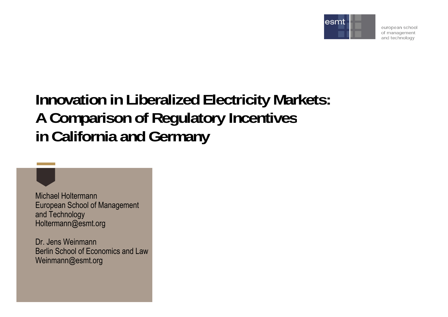

european school of management and technology

# **Innovation in Liberalized Electricity Markets: A Comparison of Regulatory Incentives in California and Germany**

Michael Holtermann -------------European School of Management and Technology Holtermann@esmt.org

Dr. Jens WeinmannBerlin School of Economics and LawWeinmann@esmt.org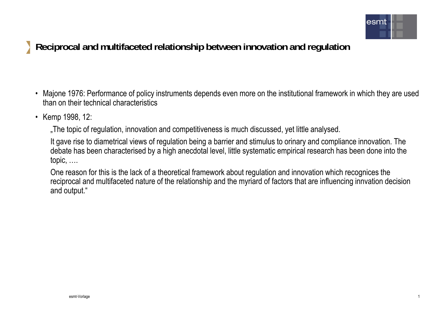

# **Reciprocal and multifaceted relationship between innovation and regulation**

- Majone 1976: Performance of policy instruments depends even more on the institutional framework in which they are used than on their technical characteristics
- Kemp 1998, 12:

..The topic of regulation, innovation and competitiveness is much discussed, yet little analysed.

It gave rise to diametrical views of regulation being a barrier and stimulus to orinary and compliance innovation. The debate has been characterised by a high anecdotal level, little systematic empirical research has been done into the  $topic, \ldots$ 

One reason for this is the lack of a theoretical framework about regulation and innovation which recognices the reciprocal and multifaceted nature of the relationship and the myriard of factors that are influencing innvation decision and output."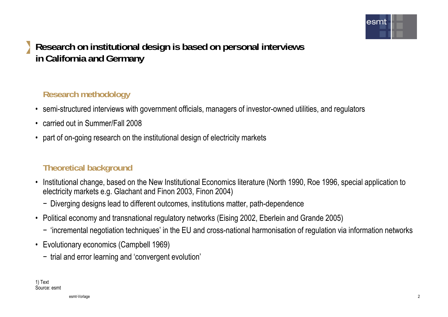

# **Research on institutional design is based on personal interviews in California and Germany**

### **Research methodology**

- semi-structured interviews with government officials, managers of investor-owned utilities, and regulators
- carried out in Summer/Fall 2008
- part of on-going research on the institutional design of electricity markets

### **Theoretical background**

- Institutional change, based on the New Institutional Economics literature (North 1990, Roe 1996, special application to electricity markets e.g. Glachant and Finon 2003, Finon 2004)
	- − Diverging designs lead to different outcomes, institutions matter, path-dependence
- Political economy and transnational regulatory networks (Eising 2002, Eberlein and Grande 2005)
	- − 'incremental negotiation techniques' in the EU and cross-national harmonisation of regulation via information networks
- Evolutionary economics (Campbell 1969)
	- − trial and error learning and 'convergent evolution'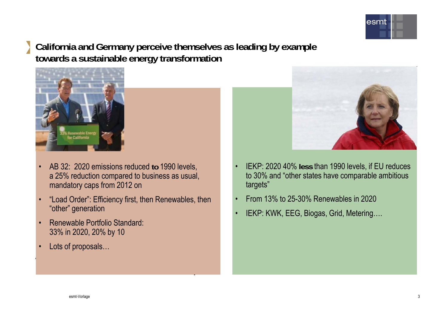

## **California and Germanyp g y p perceive themselves as leading by example towards a sustainable energy transformation**



- • AB 32: 2020 emissions reduced **to** 1990 levels, a 25% reduction compared to business as usual, mandatory caps from 2012 on
- • "Load Order": Efficiency first, then Renewables, then "other" generation

AB 32: – 25% GHG by 2020, mandatory caps from 2012 on

- • Renewable Portfolio Standard:33% in 2020, 20% by 10 33% in 2020, 20% by<br>• I ots of proposals
- Lots of proposals…



- • IEKP: 2020 40% **less** than 1990 levels, if EU reduces to 30% and "other states have comparable ambitious targets"
- •From 13% to 25-30% Renewables in 2020
- •IEKP: KWK, EEG, Biogas, Grid, Metering….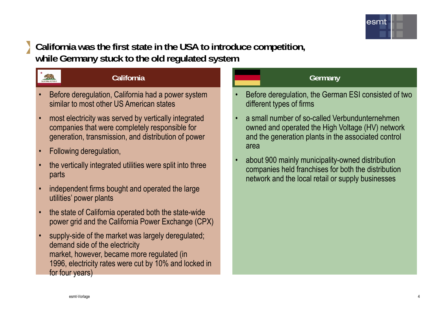

### **California was the first state in the USA to introduce com p , etition, while Germany stuck to the old regulated system**



#### **California**

- • Before deregulation, California had a power system similar to most other US American states
- • most electricit y was served b y verticall y inte grated companies that were completely responsible for generation, transmission, and distribution of power
- •Following deregulation,
- • the vertically integrated utilities were split into three parts
- • independent firms bought and operated the large utilities' power plants
- • the state of California operated both the state-wide power grid and the California Power Exchange (CPX)
- • supply-side of the market was largely deregulated; demand side of the electricity market, however, became more regulated (in 1996, electricity rates were cut by 10% and locked in for four years)

- • Before deregulation, the German ESI consisted of two different types of firms
- a small number of so-called Verbundunternehmen owned and operated the High Voltage (HV) network and the generation plants in the associated control area
- about 900 mainly municipality-owned distribution •companies held franchises for both the distribution network and the local retail or supply businesses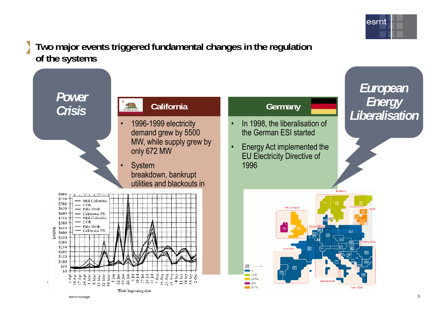

## **Two maj gg g g or events triggered fundamental changes in the regulation of the systems**

*Power Crisis*

#### 28 1 **California**

• 1996-1999 electricity demand grew by 5500 MW, while supply grew by only 672 MW

#### System breakdown, bankrupt utilities and blackouts in



•

•

#### **Germany**

- •• In 1998, the liberalisation of<br>the German ESI started
- • Energy Act implemented the EU Electricity Directive of 1996

*European Energy Liberalisation*

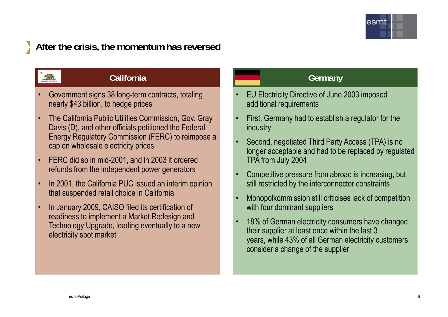

# **After the crisis, the momentum has reversed**



#### **California**

- • Government signs 38 long-term contracts, totaling nearly \$43 billion, to hedge prices
- •The California Public Utilities Commission, Gov. Gray **Fill Collact Contract** had to establish a reg Davis (D), and other officials petitioned the Federal Energy Regulatory Commission (FERC) to reimpose a cap on wholesale electricity prices
- FERC did so in mid-2001, and in 2003 it ordered TPA from July 200 •refunds from the independent power generators
- • In 2001, the California PUC issued an interim opinion that suspended retail choice in California •
- • In January 2009, CAISO filed its certification of readiness to implement a Market Redesign and Technology Upgrade, leading eventually to a new electricity spot market

- • EU Electricity Directive of June 2003 imposed additional requirements
- • First, Germany had to establish a regulator for the industry
- • Second, negotiated Third Party Access (TPA) is no longer acceptable and had to be replaced by regulated TPA from July 2004
- • Competitive pressure from abroad is increasing, but still restricted by the interconnector constraints
- Monopolkommission still criticises lack of competition with four dominant suppliers
- • 18% of German electricity consumers have changed their supplier at least once within the last 3 years, while 43% of all German electricity customers consider a change of the supplier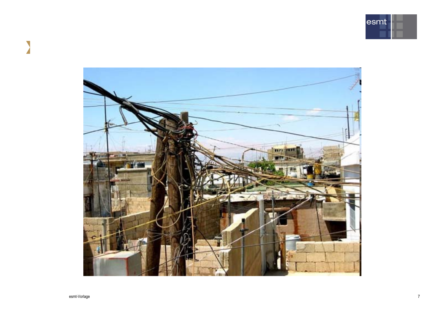



 $\sum_{i=1}^{n}$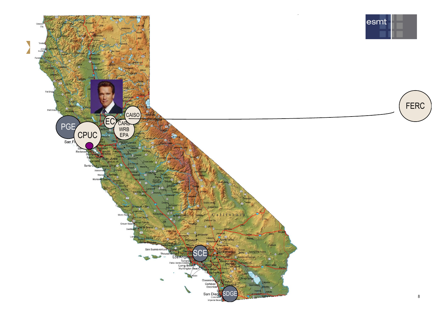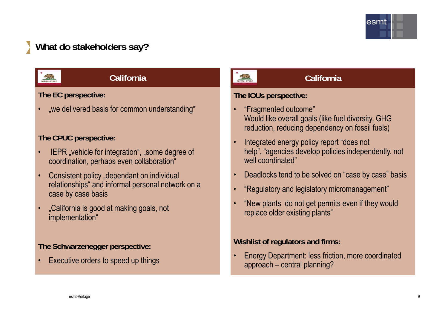

# **What do stakeholders say?**



#### **California**

**The EC perspective:**

•"we delivered basis for common understanding"

#### **The CPUC perspective:**

- •IEPR "vehicle for integration", "some degree of coordination, perhaps even collaboration" letter the discussion well coordinated"
- •Consistent policy "dependant on individual relationships" and informal personal network on a case by case basis
- • "California is good at making goals, not implementation"

#### **The Schwarzenegger perspective:**

•Executive orders to speed up things

#### **California**

#### **The IOUs perspective:**

- • "Fragmented outcome" Would like overall goals (like fuel diversity, GHG reduction, reducing dependency on fossil fuels)
- • Integrated energy policy report "does not help", "agencies develop policies independently, not well coordinated"
- Deadlocks tend to be solved on "case by case" basis
- •"Regulatory and legislatory micromanagement"
- • "New plants do not get permits even if they would replace older existing plants"

#### **Wishlist of regulators and firms:**

• Energy Department: less friction, more coordinated approach – central planning?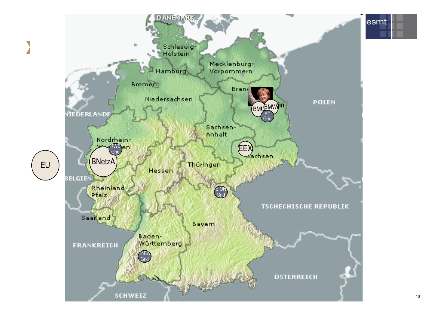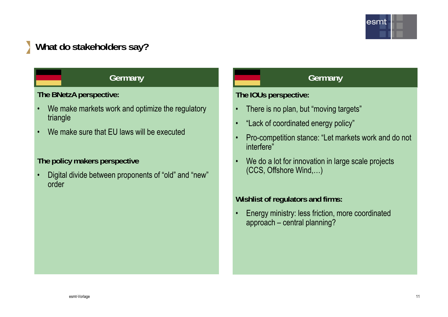

# **What do stakeholders say?**

**The BNetzA perspective:**

- triangle<br>
The Contract of Coordinated energy policy" and the Coordinated energy policy" by the Coordinated energy policy •We make markets work and optimize the regulatory triangle
- •We make sure that EU laws will be executed

#### **Th li k tiThe policy makers perspective** ive and the contract of the contract of the contract of the contract of the contract of the contract of the co

• Digital divide between proponents of "old" and "new" order

#### **Germany Germany**

#### **The IOUs perspective:**

- •There is no plan, but "moving targets"
- •
- • Pro-competition stance: "Let markets work and do not interfere"
- We do a lot for innovation in large scale projects (CCS, Offshore Wind,…)

#### **Wishlist of regulators and firms:**

• Energy ministry: less friction, more coordinated approach – central planning?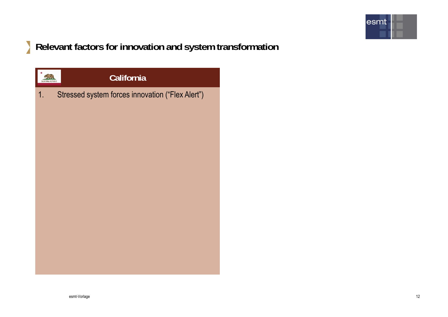

|                | California                                       |
|----------------|--------------------------------------------------|
| 1 <sub>1</sub> | Stressed system forces innovation ("Flex Alert") |
|                |                                                  |
|                |                                                  |
|                |                                                  |
|                |                                                  |
|                |                                                  |
|                |                                                  |
|                |                                                  |
|                |                                                  |
|                |                                                  |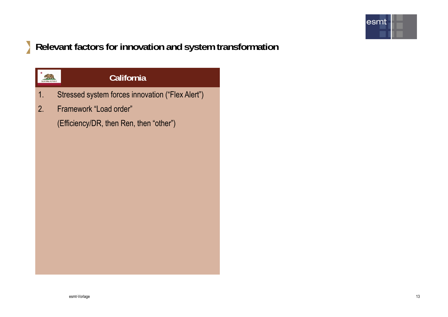

|    | California                                       |
|----|--------------------------------------------------|
| 1. | Stressed system forces innovation ("Flex Alert") |
| 2. | Framework "Load order"                           |
|    | (Efficiency/DR, then Ren, then "other")          |
|    |                                                  |
|    |                                                  |
|    |                                                  |
|    |                                                  |
|    |                                                  |
|    |                                                  |
|    |                                                  |
|    |                                                  |
|    |                                                  |
|    |                                                  |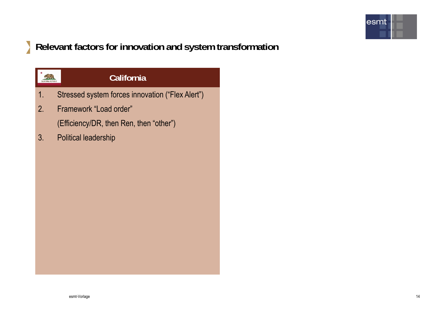

|    | California                                       |
|----|--------------------------------------------------|
| 1. | Stressed system forces innovation ("Flex Alert") |
| 2. | Framework "Load order"                           |
|    | (Efficiency/DR, then Ren, then "other")          |
| 3. | <b>Political leadership</b>                      |
|    |                                                  |
|    |                                                  |
|    |                                                  |
|    |                                                  |
|    |                                                  |
|    |                                                  |
|    |                                                  |
|    |                                                  |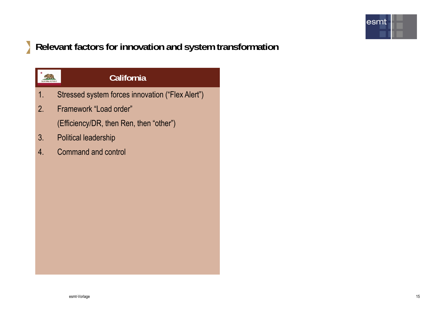

| Stressed system forces innovation ("Flex Alert") |
|--------------------------------------------------|
|                                                  |
|                                                  |
|                                                  |
|                                                  |
|                                                  |
|                                                  |
|                                                  |
|                                                  |
|                                                  |
|                                                  |
|                                                  |
|                                                  |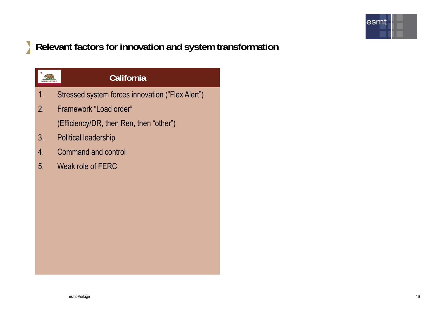

|    | California                                       |
|----|--------------------------------------------------|
| 1. | Stressed system forces innovation ("Flex Alert") |
| 2. | Framework "Load order"                           |
|    | (Efficiency/DR, then Ren, then "other")          |
| 3. | <b>Political leadership</b>                      |
| 4. | <b>Command and control</b>                       |
| 5. | Weak role of FERC                                |
|    |                                                  |
|    |                                                  |
|    |                                                  |
|    |                                                  |
|    |                                                  |
|    |                                                  |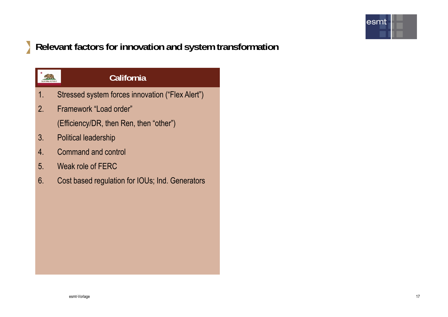

| California                                       |
|--------------------------------------------------|
| Stressed system forces innovation ("Flex Alert") |
| Framework "Load order"                           |
| (Efficiency/DR, then Ren, then "other")          |
| <b>Political leadership</b>                      |
| <b>Command and control</b>                       |
| Weak role of FERC                                |
| Cost based regulation for IOUs; Ind. Generators  |
|                                                  |
|                                                  |
|                                                  |
|                                                  |
|                                                  |
|                                                  |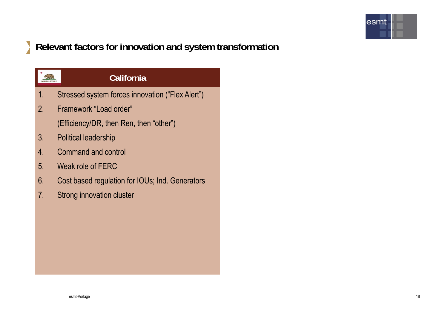

|                       | California                                       |
|-----------------------|--------------------------------------------------|
| 1.                    | Stressed system forces innovation ("Flex Alert") |
| $2_{-}$               | Framework "Load order"                           |
|                       | (Efficiency/DR, then Ren, then "other")          |
| 3.                    | <b>Political leadership</b>                      |
| $\mathcal{A}_{\cdot}$ | Command and control                              |
| 5.                    | Weak role of FERC                                |
| 6.                    | Cost based regulation for IOUs; Ind. Generators  |
| 7.                    | Strong innovation cluster                        |
|                       |                                                  |
|                       |                                                  |
|                       |                                                  |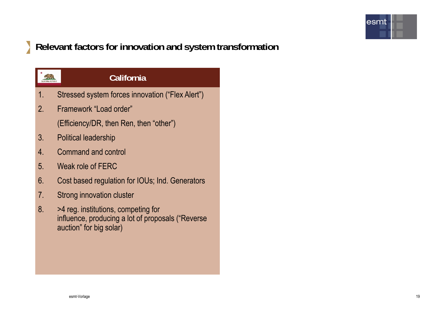

|                                  | California                                                                                                          |  |  |  |
|----------------------------------|---------------------------------------------------------------------------------------------------------------------|--|--|--|
| 1.                               | Stressed system forces innovation ("Flex Alert")                                                                    |  |  |  |
| $2_{1}$                          | Framework "Load order"                                                                                              |  |  |  |
|                                  | (Efficiency/DR, then Ren, then "other")                                                                             |  |  |  |
| $3_{\cdot}$                      | <b>Political leadership</b>                                                                                         |  |  |  |
| $\overline{4}$ .                 | Command and control                                                                                                 |  |  |  |
| 5.                               | Weak role of FERC                                                                                                   |  |  |  |
| 6.                               | Cost based regulation for IOUs; Ind. Generators                                                                     |  |  |  |
| $7_{\scriptscriptstyle{\ddots}}$ | Strong innovation cluster                                                                                           |  |  |  |
| 8.                               | >4 reg. institutions, competing for<br>influence, producing a lot of proposals ("Reverse<br>auction" for big solar) |  |  |  |
|                                  |                                                                                                                     |  |  |  |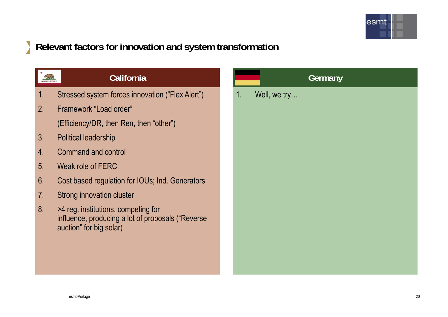

|                | <b>California</b>                                                                                                   |    | Germany      |
|----------------|---------------------------------------------------------------------------------------------------------------------|----|--------------|
| 1 <sub>1</sub> | Stressed system forces innovation ("Flex Alert")                                                                    | 1. | Well, we try |
| 2 <sub>1</sub> | Framework "Load order"                                                                                              |    |              |
|                | (Efficiency/DR, then Ren, then "other")                                                                             |    |              |
| 3.             | <b>Political leadership</b>                                                                                         |    |              |
| 4.             | <b>Command and control</b>                                                                                          |    |              |
| 5 <sub>1</sub> | Weak role of FERC                                                                                                   |    |              |
| 6.             | Cost based regulation for IOUs; Ind. Generators                                                                     |    |              |
| $7_{\cdot}$    | Strong innovation cluster                                                                                           |    |              |
| 8 <sub>1</sub> | >4 reg. institutions, competing for<br>influence, producing a lot of proposals ("Reverse<br>auction" for big solar) |    |              |
|                |                                                                                                                     |    |              |
|                |                                                                                                                     |    |              |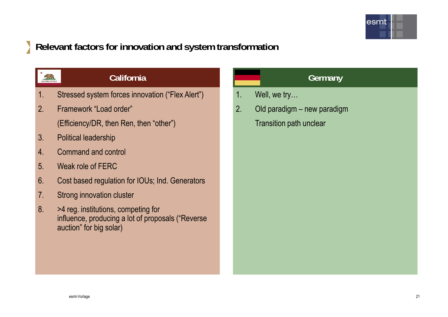

#### **California**

- 1. Stressed system forces innovation ("Flex Alert")
- 2. Framework "Load order"
- (Efficiency/DR, then Ren, then "other")<br>3. Political leadership
- 

49 5/2

- 4. Command and control
- 5. Weak role of FERC
- 6. Cost based regulation for IOUs; Ind. Generators
- 7.Strong innovation cluster
- 8. >4 reg. institutions, competing for influence, producing a lot of proposals ("Reverse auction" for big solar)

- 1. Well, we try…
- 2. Old paradigm new paradigm Transition path unclear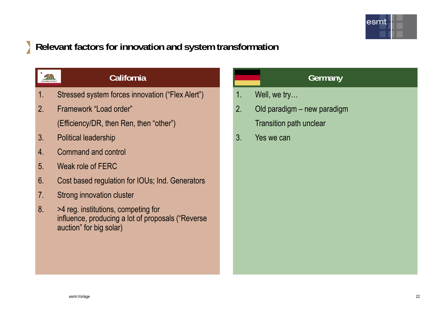

#### **California**

- 1. Stressed system forces innovation ("Flex Alert")
- 2. Framework "Load order"
	- (Efficiency/DR, then Ren, then "other")
- 3. Political leadership

**ANY ANY** 

- 4. Command and control
- 5. Weak role of FERC
- 6. Cost based regulation for IOUs; Ind. Generators
- 7.Strong innovation cluster
- 8. >4 reg. institutions, competing for influence, producing a lot of proposals ("Reverse auction" for big solar)

- 1. Well, we try…
- 2. Old paradigm new paradigm Transition path unclear
- 3. Yes we can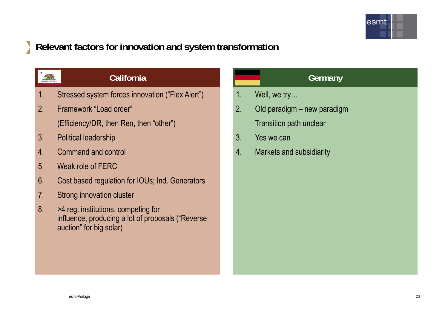

#### **California**

- 1. Stressed system forces innovation ("Flex Alert")
- 2. Framework "Load order"
	- (Efficiency/DR, then Ren, then "other")
- 3. Political leadership

**ANY ANY** 

- 4. Command and control
- 5. Weak role of FERC
- 6. Cost based regulation for IOUs; Ind. Generators
- 7.Strong innovation cluster
- 8. >4 reg. institutions, competing for influence, producing a lot of proposals ("Reverse auction" for big solar)

- 1. Well, we try…
- 2. Old paradigm new paradigm Transition path unclear
- 3. Yes we can
- 4. Markets and subsidiarity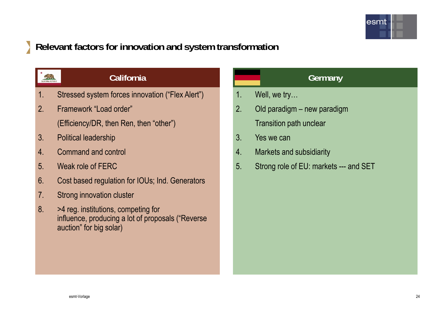

#### **California**

- 1. Stressed system forces innovation ("Flex Alert")
- 2. Framework "Load order"
	- (Efficiency/DR, then Ren, then "other")
- 3. Political leadership

49 5/2

- 4. Command and control
- 5. Weak role of FERC
- 6. Cost based regulation for IOUs; Ind. Generators
- 7.Strong innovation cluster
- 8. >4 reg. institutions, competing for influence, producing a lot of proposals ("Reverse auction" for big solar)

- 1. Well, we try…
- 2. Old paradigm new paradigm Transition path unclear
- 3. Yes we can
- 4. Markets and subsidiarity
- 5. Strong role of EU: markets --- and SET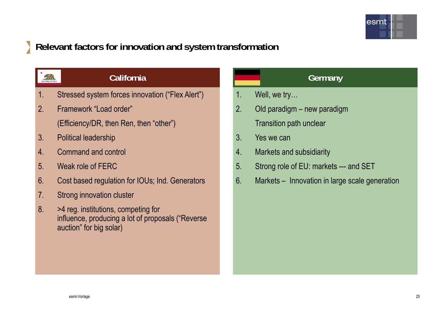

#### **California**

- 1. Stressed system forces innovation ("Flex Alert")
- 2. Framework "Load order"
	- (Efficiency/DR, then Ren, then "other")
- 3. Political leadership

49 5/2

- 4. Command and control
- 5. Weak role of FERC
- 6. Cost based regulation for IOUs; Ind. Generators
- 7.Strong innovation cluster
- 8. >4 reg. institutions, competing for influence, producing a lot of proposals ("Reverse auction" for big solar)

- 1. Well, we try…
- 2. Old paradigm new paradigm Transition path unclear
- 3. Yes we can
- 4. Markets and subsidiarity
- 5. Strong role of EU: markets --- and SET
- 6. Markets Innovation in large scale generation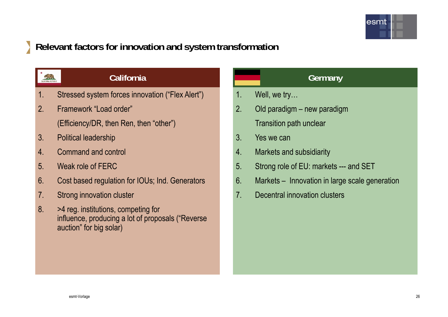

#### **California**

- 1. Stressed system forces innovation ("Flex Alert")
- 2. Framework "Load order"
	- (Efficiency/DR, then Ren, then "other")
- 3. Political leadership

28 18 18

- 4. Command and control
- 5. Weak role of FERC
- 6. Cost based regulation for IOUs; Ind. Generators
- 7.Strong innovation cluster
- 8. >4 reg. institutions, competing for influence, producing a lot of proposals ("Reverse auction" for big solar)

- 1. Well, we try…
- 2. Old paradigm new paradigm Transition path unclear
- 3. Yes we can
- 4. Markets and subsidiarity
- 5. Strong role of EU: markets --- and SET
- 6. Markets Innovation in large scale generation
- 77.Decentral innovation clusters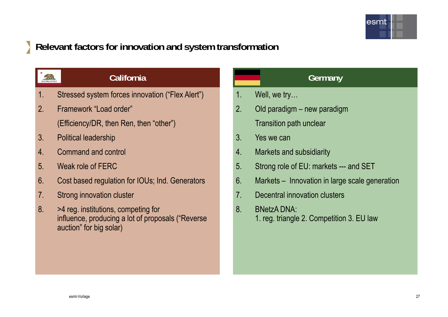

#### **California**

- 1. Stressed system forces innovation ("Flex Alert")
- 2 Framework "Load order"
	- (Efficiency/DR, then Ren, then "other")
- 3. Political leadership

49 13/1

- 4. Command and control
- 5. Weak role of FERC
- 6. Cost based regulation for IOUs; Ind. Generators
- 77.Strong innovation cluster
- 8. >4 reg. institutions, competing for influence, producing a lot of proposals ("Reverse auction" for big solar)

- 1. Well, we try…
- 2. Old paradigm new paradigm Transition path unclear
- 3. Yes we can
- 4. Markets and subsidiarity
- 5. Strong role of EU: markets --- and SET
- 6. Markets Innovation in large scale generation
- 77.Decentral innovation clusters
- 8. BNetzA DNA:1. reg. triangle 2. Competition 3. EU law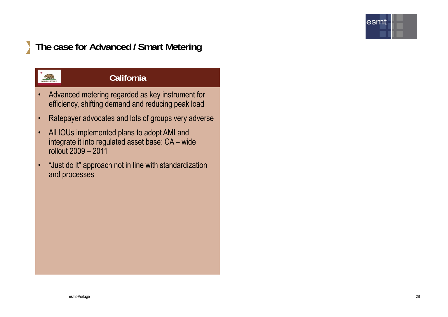

# **The case for Advanced / Smart Meterin g**



#### **California**

- • Advanced metering regarded as key instrument for efficiency, shifting demand and reducing peak load
- •Ratepayer advocates and lots of groups very adverse
- • All IOUs implemented plans to adopt AMI and integrate it into regulated asset base: CA – wide rollout 2009 – 2011
- • "Just do it" approach not in line with standardization and processes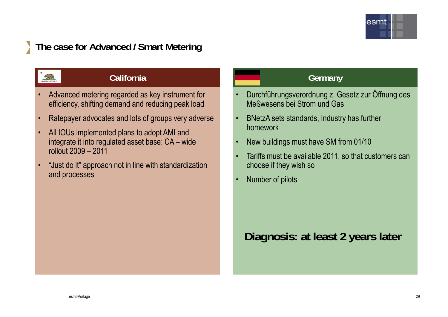

# **The case for Advanced / Smart Meterin g**



#### **California**

- • Advanced metering regarded as key instrument for efficiency, shifting demand and reducing peak load
- •Ratepayer advocates and lots of groups very adverse
- • All IOUs implemented plans to adopt AMI and integrate it into regulated asset base: CA – wide rollout 2009 – 2011
- • "Just do it" approach not in line with standardization and processes

#### **Germany**

- • Durchführungsverordnung z. Gesetz zur Öffnung des Meßwesens bei Strom und Gas
- •BNetzA sets standards, Industry has further homework
- •New buildings must have SM from 01/10
- • Tariffs must be available 2011, so that customers can choose if they wish so
- •Number of pilots

**Dia gnosis: at least 2 years later**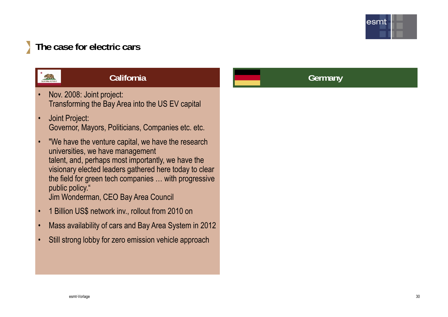

# **The case for electric cars**



#### **California**

- • Nov. 2008: Joint project: Transforming the Bay Area into the US EV capital
- • Joint Project: Governor, Mayors, Politicians, Companies etc. etc.
- • "We have the venture capital, we have the research universities, we have management talent, and, perhaps most importantly, we have the visionary elected leaders gathered here today to clear the field for green tech companies … with progressive public policy." Jim Wonderman, CEO Bay Area Council
- •1 Billion US\$ network inv., rollout from 2010 on
- •Mass availability of cars and Bay Area System in 2012
- •Still strong lobby for zero emission vehicle approach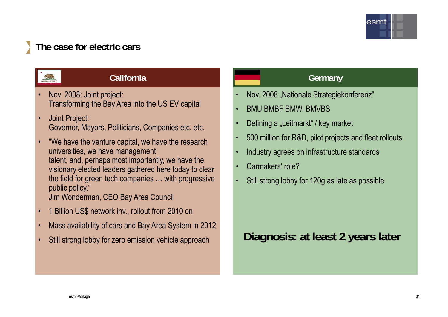

# **The case for electric cars**



#### **California**

- • Nov. 2008: Joint project: Transforming the Bay Area into the US EV capital
- •Joint Project:<br>Covernor Movere Politiciane Componies etc. etc. No. 1996. Defining a "Leitmarkt" j Governor, Mayors, Politicians, Companies etc. etc.
- • "We have the venture capital, we have the research universities, we have management talent, and, perhaps most importantly, we have the visionary elected leaders gathered here today to clear the field for green tech companies … with progressive public policy." Jim Wonderman, CEO Bay Area Council
- •1 Billion US\$ network inv., rollout from 2010 on
- •Mass availability of cars and Bay Area System in 2012
- •

#### **Germany**

- •Nov. 2008 "Nationale Strategiekonferenz"
- •BMU BMBF BMWi BMVBS
- •Defining a Leitmarkt" / key market
- •500 million for R&D, pilot projects and fleet rollouts
- •Industry agrees on infrastructure standards
- •Carmakers' role?
- •Still strong lobby for 120g as late as possible

Still strong lobby for zero emission vehicle approach **Diagnosis: at least 2 years later**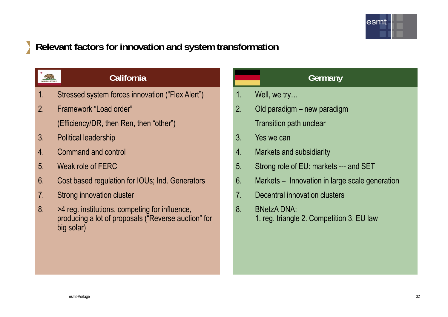

#### **California**

- 1. Stressed system forces innovation ("Flex Alert")
- 2 Framework "Load order"
	- (Efficiency/DR, then Ren, then "other")
- 3. Political leadership

49 13/1

- 4. Command and control
- 5. Weak role of FERC
- 6. Cost based regulation for IOUs; Ind. Generators
- 77.Strong innovation cluster
- 8. >4 reg. institutions, competing for influence, producing a lot of proposals ("Reverse auction" for big solar)

- 1. Well, we try…
- 2. Old paradigm new paradigm Transition path unclear
- 3. Yes we can
- 4. Markets and subsidiarity
- 5. Strong role of EU: markets --- and SET
- 6. Markets Innovation in large scale generation
- 77.Decentral innovation clusters
- 8. BNetzA DNA:1. reg. triangle 2. Competition 3. EU law